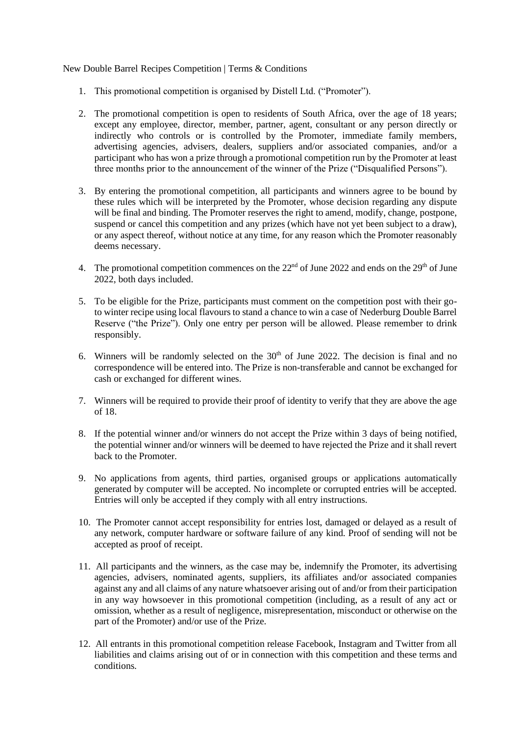New Double Barrel Recipes Competition | Terms & Conditions

- 1. This promotional competition is organised by Distell Ltd. ("Promoter").
- 2. The promotional competition is open to residents of South Africa, over the age of 18 years; except any employee, director, member, partner, agent, consultant or any person directly or indirectly who controls or is controlled by the Promoter, immediate family members, advertising agencies, advisers, dealers, suppliers and/or associated companies, and/or a participant who has won a prize through a promotional competition run by the Promoter at least three months prior to the announcement of the winner of the Prize ("Disqualified Persons").
- 3. By entering the promotional competition, all participants and winners agree to be bound by these rules which will be interpreted by the Promoter, whose decision regarding any dispute will be final and binding. The Promoter reserves the right to amend, modify, change, postpone, suspend or cancel this competition and any prizes (which have not yet been subject to a draw), or any aspect thereof, without notice at any time, for any reason which the Promoter reasonably deems necessary.
- 4. The promotional competition commences on the  $22<sup>nd</sup>$  of June 2022 and ends on the  $29<sup>th</sup>$  of June 2022, both days included.
- 5. To be eligible for the Prize, participants must comment on the competition post with their goto winter recipe using local flavours to stand a chance to win a case of Nederburg Double Barrel Reserve ("the Prize"). Only one entry per person will be allowed. Please remember to drink responsibly.
- 6. Winners will be randomly selected on the  $30<sup>th</sup>$  of June 2022. The decision is final and no correspondence will be entered into. The Prize is non-transferable and cannot be exchanged for cash or exchanged for different wines.
- 7. Winners will be required to provide their proof of identity to verify that they are above the age of 18.
- 8. If the potential winner and/or winners do not accept the Prize within 3 days of being notified, the potential winner and/or winners will be deemed to have rejected the Prize and it shall revert back to the Promoter.
- 9. No applications from agents, third parties, organised groups or applications automatically generated by computer will be accepted. No incomplete or corrupted entries will be accepted. Entries will only be accepted if they comply with all entry instructions.
- 10. The Promoter cannot accept responsibility for entries lost, damaged or delayed as a result of any network, computer hardware or software failure of any kind. Proof of sending will not be accepted as proof of receipt.
- 11. All participants and the winners, as the case may be, indemnify the Promoter, its advertising agencies, advisers, nominated agents, suppliers, its affiliates and/or associated companies against any and all claims of any nature whatsoever arising out of and/or from their participation in any way howsoever in this promotional competition (including, as a result of any act or omission, whether as a result of negligence, misrepresentation, misconduct or otherwise on the part of the Promoter) and/or use of the Prize.
- 12. All entrants in this promotional competition release Facebook, Instagram and Twitter from all liabilities and claims arising out of or in connection with this competition and these terms and conditions.